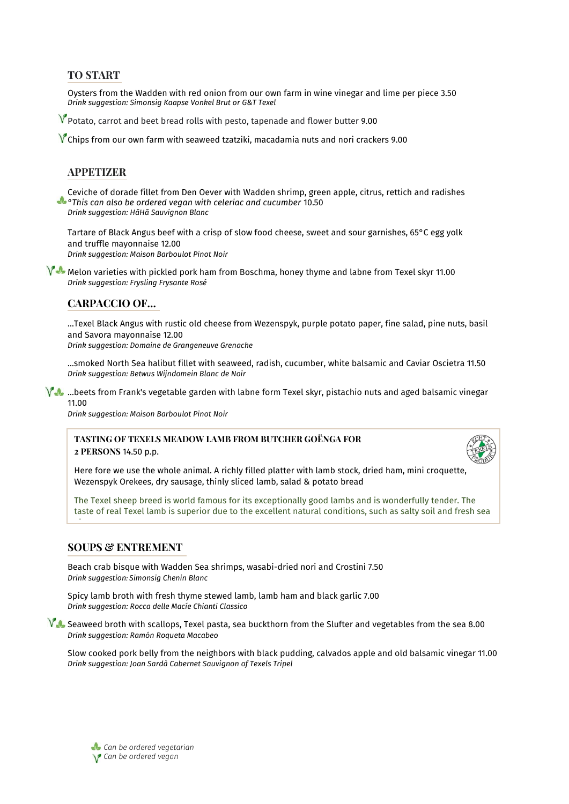# **TO START**

Oysters from the Wadden with red onion from our own farm in wine vinegar and lime per piece 3.50 *Drink suggestion: Simonsig Kaapse Vonkel Brut or G&T Texel*

 $V$  Potato, carrot and beet bread rolls with pesto, tapenade and flower butter 9.00

 $V$  Chips from our own farm with seaweed tzatziki, macadamia nuts and nori crackers 9.00

## **APPETIZER**

Ceviche of dorade fillet from Den Oever with Wadden shrimp, green apple, citrus, rettich and radishes *°This can also be ordered vegan with celeriac and cucumber* 10.50 *Drink suggestion: HãHã Sauvignon Blanc*

Tartare of Black Angus beef with a crisp of slow food cheese, sweet and sour garnishes, 65°C egg yolk and truffle mayonnaise 12.00 *Drink suggestion: Maison Barboulot Pinot Noir*

 $\sqrt{\sqrt{2}}$  Melon varieties with pickled pork ham from Boschma, honey thyme and labne from Texel skyr 11.00 *Drink suggestion: Frysling Frysante Rosé*

# **CARPACCIO OF…**

…Texel Black Angus with rustic old cheese from Wezenspyk, purple potato paper, fine salad, pine nuts, basil and Savora mayonnaise 12.00

*Drink suggestion: Domaine de Grangeneuve Grenache*

…smoked North Sea halibut fillet with seaweed, radish, cucumber, white balsamic and Caviar Oscietra 11.50 *Drink suggestion: Betwus Wijndomein Blanc de Noir*

 $\sqrt{4}$  …beets from Frank's vegetable garden with labne form Texel skyr, pistachio nuts and aged balsamic vinegar 11.00

*Drink suggestion: Maison Barboulot Pinot Noir*

### **TASTING OF TEXELS MEADOW LAMB FROM BUTCHER GOËNGA FOR 2 PERSONS** 14.50 p.p.



Here fore we use the whole animal. A richly filled platter with lamb stock, dried ham, mini croquette, Wezenspyk Orekees, dry sausage, thinly sliced lamb, salad & potato bread

The Texel sheep breed is world famous for its exceptionally good lambs and is wonderfully tender. The taste of real Texel lamb is superior due to the excellent natural conditions, such as salty soil and fresh sea

## **SOUPS & ENTREMENT**

air.

Beach crab bisque with Wadden Sea shrimps, wasabi-dried nori and Crostini 7.50 *Drink suggestion: Simonsig Chenin Blanc*

Spicy lamb broth with fresh thyme stewed lamb, lamb ham and black garlic 7.00 *Drink suggestion: Rocca delle Macíe Chianti Classico*

 $\sqrt[3]{\bullet}$  Seaweed broth with scallops, Texel pasta, sea buckthorn from the Slufter and vegetables from the sea 8.00 *Drink suggestion: Ramón Roqueta Macabeo*

Slow cooked pork belly from the neighbors with black pudding, calvados apple and old balsamic vinegar 11.00 *Drink suggestion: Joan Sardà Cabernet Sauvignon of Texels Tripel*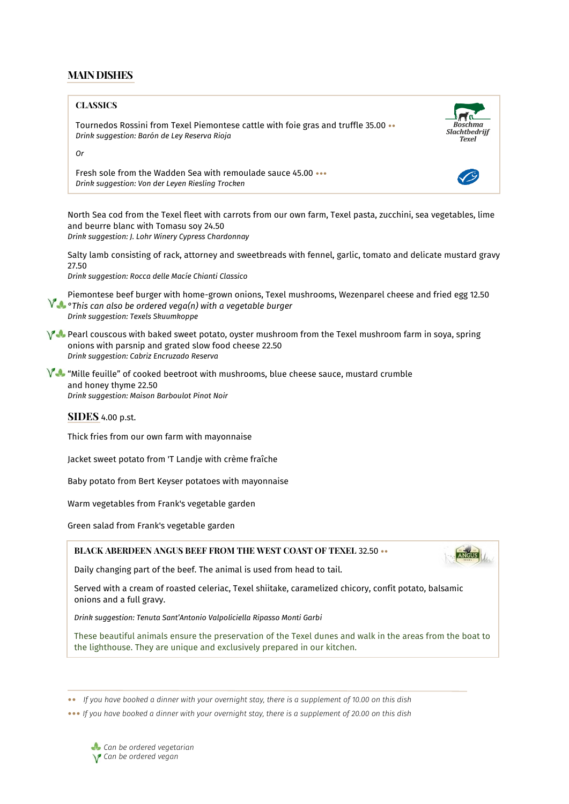# **MAIN DISHES**

#### **CLASSICS**

Tournedos Rossini from Texel Piemontese cattle with foie gras and truffle 35.00 •• *Drink suggestion: Barón de Ley Reserva Rioja*



*Or*

Fresh sole from the Wadden Sea with remoulade sauce 45.00 ••• *Drink suggestion: Von der Leyen Riesling Trocken*

North Sea cod from the Texel fleet with carrots from our own farm, Texel pasta, zucchini, sea vegetables, lime and beurre blanc with Tomasu soy 24.50 *Drink suggestion: J. Lohr Winery Cypress Chardonnay*

Salty lamb consisting of rack, attorney and sweetbreads with fennel, garlic, tomato and delicate mustard gravy 27.50

*Drink suggestion: Rocca delle Macíe Chianti Classico* 

Piemontese beef burger with home-grown onions, Texel mushrooms, Wezenparel cheese and fried egg 12.50 *°This can also be ordered vega(n) with a vegetable burger Drink suggestion: Texels Skuumkoppe*

 $\sqrt{ }$  Pearl couscous with baked sweet potato, oyster mushroom from the Texel mushroom farm in soya, spring onions with parsnip and grated slow food cheese 22.50 *Drink suggestion: Cabriz Encruzado Reserva*

YA "Mille feuille" of cooked beetroot with mushrooms, blue cheese sauce, mustard crumble and honey thyme 22.50 *Drink suggestion: Maison Barboulot Pinot Noir*

### **SIDES** 4.00 p.st.

Thick fries from our own farm with mayonnaise

Jacket sweet potato from 'T Landje with crème fraîche

Baby potato from Bert Keyser potatoes with mayonnaise

Warm vegetables from Frank's vegetable garden

Green salad from Frank's vegetable garden

### **BLACK ABERDEEN ANGUS BEEF FROM THE WEST COAST OF TEXEL** 32.50 ••



Daily changing part of the beef. The animal is used from head to tail.

Served with a cream of roasted celeriac, Texel shiitake, caramelized chicory, confit potato, balsamic onions and a full gravy.

*Drink suggestion: Tenuta Sant'Antonio Valpoliciella Ripasso Monti Garbi*

These beautiful animals ensure the preservation of the Texel dunes and walk in the areas from the boat to the lighthouse. They are unique and exclusively prepared in our kitchen.

•• *If you have booked a dinner with your overnight stay, there is a supplement of 10.00 on this dish*

••• *If you have booked a dinner with your overnight stay, there is a supplement of 20.00 on this dish*